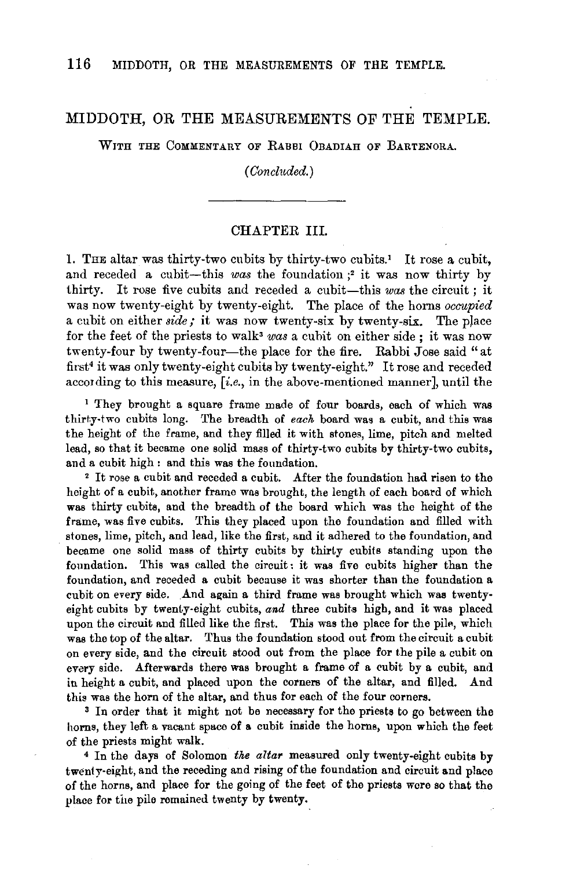### MIDDOTH, OR THE MEASUREMENTS OF THE TEMPLE.

WITH THE COMMENTARY OF RABBI OBADIAH OF BARTENORA.

*(Concluded.)* 

# CHAPTER Ill.

1. THE altar was thirty-two cubits by thirty-two cubits.<sup>1</sup> It rose a cubit, and receded a cubit-this *was* the foundation ; 2 it was now thirty by thirty. It rose five cubits and receded a cubit-this *was* the circuit ; it was now twenty-eight by twenty-eight. The place of the horns *occupied*  a cubit on either *side*; it was now twenty-six by twenty-six. The place for the feet of the priests to walk<sup>3</sup> was a cubit on either side; it was now twenty-four by twenty-four-the place for the fire. Rabbi Jose said "at first4 it was only twenty-eight cubits by twenty-eight." It rose and receded according to this measure, *[i.e.,* in the above-mentioned manner], until the

<sup>1</sup> They brought a square frame made of four boards, each of which was thirty-two cubits long. The breadth of *each* board was a cubit, and this was the height of the frame, and they filled it with stones, lime, pitch and melted lead, so that it became one solid mass of thirty-two cubits by thirty-two cubits, and a cubit high: and this was the foundation.<br><sup>2</sup> It rose a cubit and receded a cubit. After the foundation had risen to the

height of a cubit, another frame was brought, the length of each board of which was thirty cubits, and the breadth of the board which was the height of the frame, was five cubits. This they placed upon the foundation and filled with stones, lime, pitch, and lead, like the first, and it adhered to the foundation, and became one solid mass of thirty cubits by thirty cubits standing upon the foundation. This was called the circuit: it was five cubits higher than the foundation, and receded a cubit because it was shorter than the foundation a cubit on every side. And again a third frame was brought which was twentyeight cubits by twenty-eight cubits, *and* three cubits high, and it was placed upon the circuit and filled like the first. This was the place for the pile, which was the top of the altar. Thus the foundation stood out from the circuit a cubit on every side, and the circuit stood out from the place for the pile a cubit on evary side. Afterwards there was brought a frame of a cubit by a cubit, and in height a cubit, and placed upon the corners of the altar, and filled. And this was the horn of the altar, and thus for each of the four corners.

<sup>3</sup> In order that it might not be necessary for the priests to go between the horns, they left a vacant space of a cubit inside the horns, upon which the feet of the priests might walk.

4 In the days of Solomon *the altar* measured only twenty-eight cubits by twenty-eight, and the receding and rising of the foundation and circuit and place of the horns, and place for the going of the feet of the priests were so that the place for the pile remained twenty by twenty.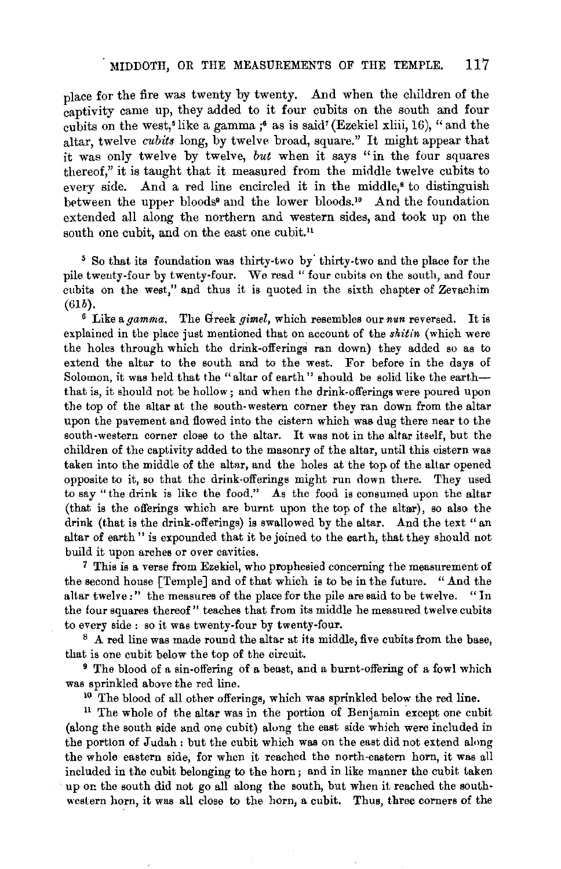place for the fire was twenty by twenty. And when the children of the captivity came up, they added to it four cubits on the south and four cubits on the west,<sup>5</sup> like a gamma ;<sup>6</sup> as is said' (Ezekiel xliii, 16), " and the altar, twelve *cubits* long, by twelve broad, square." It might appear that it was only twelve by twelve, *but* when it says "in the four squares thereof," it is taught that it measured from the middle twelve cubits to every side. And a red line encircled it in the middle,• to distinguish between the upper bloods<sup>®</sup> and the lower bloods.<sup>10</sup> And the foundation extended all along the northern and western sides, and took up on the south one cubit, and on the east one cubit.<sup>11</sup>

6 So that its foundation was thirty-two by' thirty-two and the place for the pile twenty-four by twenty-four. We read " four cubits on the south, and four cubits on the west," and thus it is quoted in the sixth chapter of Zevachim

(61b}. 6 Like *agam'fna.* The Greek *gimel,* which resembles our *nun* reversed. It is explained in the place just mentioned that on account of the *skitin* (which were the holes through which the drink-offerings ran down) they added so as to extend the altar to the south and to the west. For before in the days of Solomon, it was held that the "altar of earth" should be solid like the earththat is, it should not be hollow; and when the drink-offerings were poured upon the top of the altar at the south-western corner they ran down from the altar upon the pavement and flowed into the cistern which was dug there near to the south-western corner close to the altar. It was not in the altar itself, but the children of the captivity added to the masonry of the altar, until this cistern was taken into the middle of the altar, and the holes at the top of the altar opened opposite to it, so that the drink-offerings might run down there. They used to say "the drink is like the food." As the food is consumed upon the altar (that is the offerings which are burnt upon the top of the altar), so also the drink (that is the drink-offerings) is swallowed by the altar. And the text "an altar of earth" is expounded that it be joined to the earth, that they should not build it upon arches or over cavities.

7 This is a verse from Ezekiel, who prophesied concerning the measurement of the second house [Temple] and of that which is to be in the future. "And the altar twelve:" the measures of the place for the pile are said to be twelve. "In the four squares thereof" teaches that from its middle he measured twelve cubits to every side : so it was twenty-four by twenty-four.<br><sup>8</sup> A red line was made round the altar at its middle, five cubits from the base,

that is one cubit below the top of the circuit. 9 The blood of a sin-offering of a beast, and a burnt-offering of a fowl which

was sprinkled above the red line.<br><sup>10</sup> The blood of all other offerings, which was sprinkled below the red line.<br><sup>11</sup> The whole of the altar was in the portion of Benjamin except one cubit

(along the south side and one cubit) along the east side which were included in the portion of Judah: but the cubit which was on the east did not extend along the whole eastern side, for when it reached the north-eastern horn, it was all included in the cubit belonging to the horn; and in like manner the cubit taken up on the south did not go all along the south, but when it reached the southwestern horn, it was all close to the horn, a cubit. Thus, three corners of the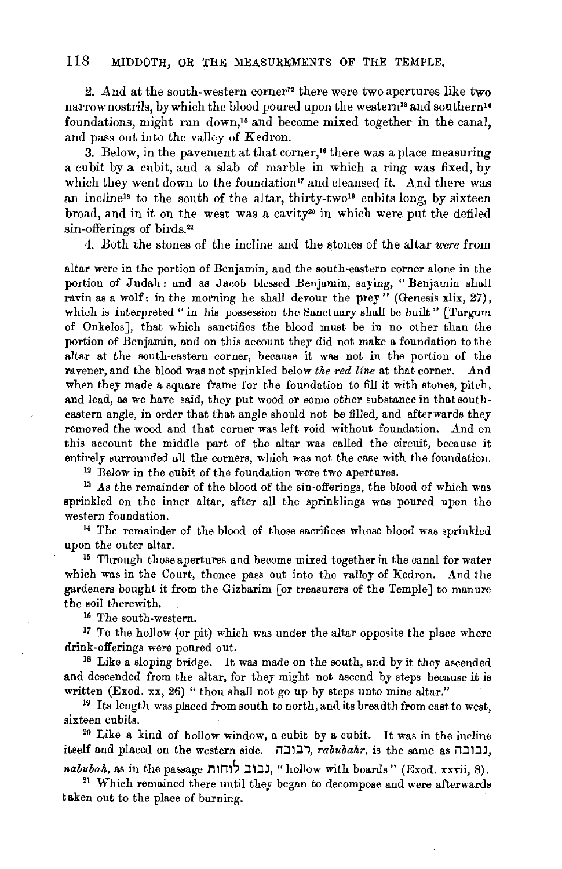## 118 MIDDOTH, OR THE MEASUREMENTS OF THE TEMPLE.

2. And at the south-western corner<sup>12</sup> there were two apertures like two 2. And at the south-western corner- there were two apertures into two  $\frac{1}{2}$  $f(x)$  is a might run down down down the capacitation  $f(x)$  and  $f(x)$  and  $f(x)$  are call,  $f(x)$  and  $f(x)$  and  $f(x)$  are can become mixed to get the canonical,  $f(x)$  and  $f(x)$  and  $f(x)$  are call,  $f(x)$  and  $f(x)$  and  $f(x)$  a foundations, might run down,<sup>15</sup> and become mixed together in the canal, and pass out into the valley of Kedron.

3. Below, in the pavement at that corner,<sup>16</sup> there was a place measuring a. Delow, in the payement at that corner, where was a place measuring  $c = 1.1$ capit by a cubit, and a siab of marble in which a ring was fixed, by which they went down to the foundation<sup>17</sup> and cleansed it. And there was an incline<sup>18</sup> to the south of the altar, thirty-two<sup>19</sup> cubits long, by sixteen broad, and in it on the west was a cavity<sup>20</sup> in which were put the defiled sin-offerings of birds.<sup>21</sup>

4. Both the stones of the incline and the stones of the altar *were* from

altar were in the portion of Benjamin, and the south-eastern corner alone in the portion of J udah: and as a south-eastern corner alone in the portion of Judah: and as Jacob blessed Benjamin, saying, "Benjamin shall ravin as a wolf: in the morning he shall devour the prey" (Genesis xlix, 27), which is interpreted "in his possession the Sanctuary shall be built" [Targum of Onkelos], that which sanctifies the blood must be in no other than the portion of Benjamin, and on this account they did not make a foundation to the altar at the south-eastern corner, because it was not in the portion of the rayener, and the blood was not sprinkled below the red line at that corner. And when they made a square frame for the foundation to fill it with stones, pitch, and lead, as we have said, they put wood or some other substance in that southeastern angle, in order that that angle should not be filled, and afterwards they removed the wood and that corner was left void without foundation. And on this account the middle part of the altar was called the circuit, because it entirely surrounded all the corners, which was not the case with the foundation.  $12$  Below in the cubit of the foundation were two apertures.

<sup>13</sup> As the remainder of the blood of the sin-offerings, the blood of which was sprinkled on the inner altar, after all the sprinklings was poured upon the western foundation.

 $14$  The remainder of the blood of those sacrifices whose blood was sprinkled upon the outer altar.

<sup>15</sup> Through those apertures and become mixed together in the canal for water which was in the Court, thence pass out into the valley of Kedron. And the gardeners bought it from the Gizbarim [or treasurers of the Temple] to manure the soil therewith.

<sup>16</sup> The south-western.

 $\frac{1}{2}$  To the south-western, which was under the altar opposite the place where  $\frac{1}{2}$ drink-offerings were ponred out. 18 Like a slope a slope of the southern the southern the southern the southern the southern the southern the southern the southern the southern the southern the southern the southern the so

<sup>18</sup> Like a sloping bridge. It was made on the south, and by it they ascended and descended from the altar, for they might not ascend by steps because it is written (Exod. xx, 26) " thou shall not go up by steps unto mine altar."

 $^{19}$  Its length was placed from south to north, and its breadth from east to west, sixteen cubits. n cubits.<br>It windows windows windows windows in the ineline in the ineline in the ineline in the ineline in the ineline

itself and placed on the western side. **i1:ll:l"1,** *rabubahr,* is the same as i1:ll:l~, itself and placed on the western side. רבובה, *rabubahr*, is the same as בובה,<br>*nabubah*, as in the passage  $\frac{1}{n}$ ובוב לוחות, "hollow with boards" (Exod. xxvii, 8).

<sup>21</sup> Which remained there until they began to decompose and were afterwards taken out to the place of burning.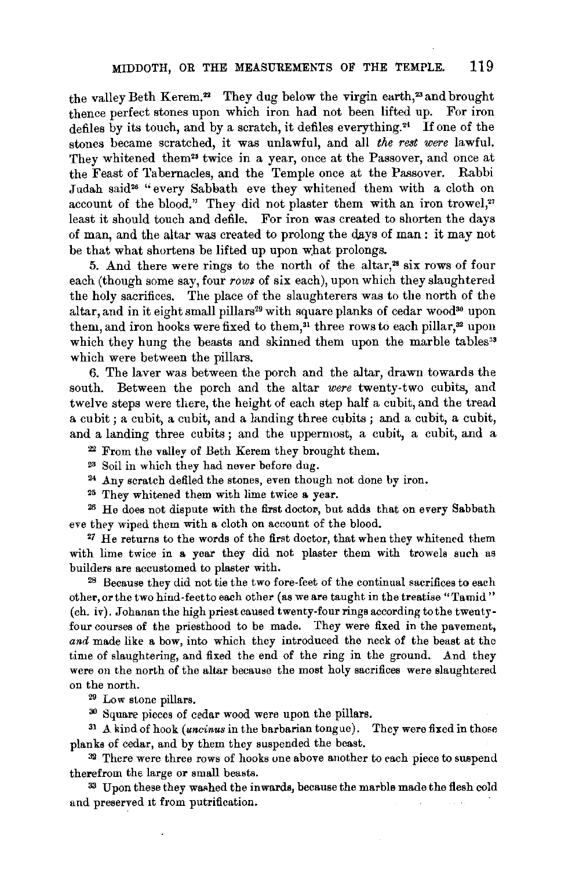the valley Beth Kerem.<sup>22</sup> They dug below the virgin earth,<sup>23</sup> and brought thence perfect stones upon which iron had not been lifted up. For iron defiles by its touch, and by a scratch, it defiles everything.<sup>24</sup> If one of the stones became scratched, it was unlawful, and all *the rest were* lawful. They whitened them<sup>25</sup> twice in a year, once at the Passover, and once at the Feast of Tabernacles, and the Temple once at the Passover. Rabbi Judah said<sup>26</sup> "every Sabbath eve they whitened them with a cloth on account of the blood." They did not plaster them with an iron trowel,<sup>27</sup> least it should touch and defile. For iron was created to shorten the days of man, and the altar was created to prolong the days of man: it may not be that what shortens be lifted up upon what prolongs.

5. And there were rings to the north of the altar, $28 \text{ six rows of four}$ each (though some say, four *rows* of six each), upon which they slaughtered the holy sacrifices. The place of the slaughterers was to the north of the altar, and in it eight small pillars<sup>29</sup> with square planks of cedar wood<sup>30</sup> upon them, and iron hooks were fixed to them,<sup>31</sup> three rows to each pillar,<sup>32</sup> upon which they hung the beasts and skinned them upon the marble tables<sup>33</sup> which were between the pillars.

6. The laver was between the porch and the altar, drawn towards the south. Between the porch and the altar *were* twenty-two cubits, and twelve steps were there, the height of each step half a cubit, and the tread a cubit; a cubit, a cubit, and a landing three cubits; and a cubit, a cubit, and a landing three cubits ; and the uppermost, a cubit, a cubit, and a

22 From the valley of Beth Kerem they brought them.

 $23$  Soil in which they had never before dug.<br> $24$  Any scratch defiled the stones, even though not done by iron.

<sup>25</sup> They whitened them with lime twice a year.<br><sup>26</sup> He does not dispute with the first doctor, but adds that on every Sabbath eve they wiped them with a cloth on account of the blood.<br><sup>27</sup> He returns to the words of the first doctor, that when they whitened them

with lime twice in a year they did not plaster them with trowels such as builders are accustomed to plaster with.

<sup>28</sup> Because they did not tie the two fore-feet of the continual sacrifices to each other,orthe two hind-feetto each other (as we are taught in the treatise "Tamid" (ch. iv). Johanan the high priest caused twenty-four rings according to the twentyfour courses of the priesthood to be made. They were fixed in the pavement, *and* made like a bow, into which they introduced the neck of the beast at the time of slaughtering, and fixed the end of the ring in the ground. And they were on the north of the altar because the most holy sacrifices were slaughtered on the north.

 $29$  Low stone pillars.<br> $30$  Square pieces of cedar wood were upon the pillars.

3l A kind of hook *(uncinus* in the barbarian tongue). They were fixed in those planks of cedar, and by them they suspended the beast.

32 There were three rows of hooks one above another to each piece to suspend therefrom the large or small beasts.

33 Upon these they washed the inwards, because the marble made the flesh cold and preserved it from putrification.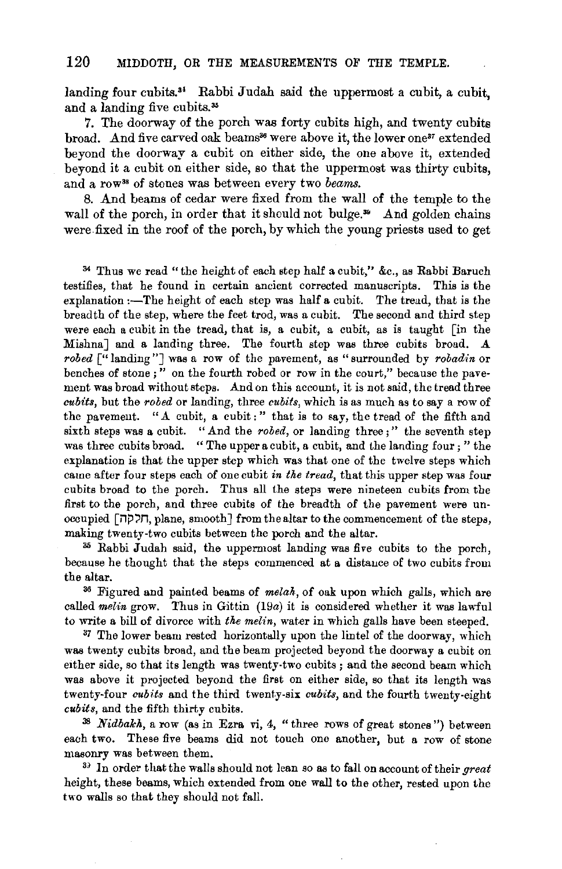landing four cubits.<sup>34</sup> Rabbi Judah said the uppermost a cubit, a cubit, and a landing five cubits.<sup>35</sup>

7. The doorway of the porch was forty cubits high, and twenty cubits broad. And five carved oak beams<sup>36</sup> were above it, the lower one<sup>37</sup> extended beyond the doorway a cubit on either side, the one above it, extended beyond it a cubit on either side, so that the uppermost was thirty cubits, and a row<sup>38</sup> of stones was between every two *beams*.

8. And beams of cedar were fixed from the wall of the temple to the wall of the porch, in order that it should not bulge.<sup>39</sup> And golden chains were fixed in the roof of the porch, by which the young priests used to get

34 Thus we read "the height of each step half a cubit," &c., as Rabbi Baruch testifies, that he found in certain ancient corrected manuscripts. This is the explanation :- The height of each step was half a cubit. The tread, that is the breadth of the step, where the feet trod, was a cubit. The second and third step were each a cubit in the tread, that is, a cubit, a cubit, as is taught [in the Mishna] and a landing three. The fourth step was three cubits broad. A *robed* ["landing"] was a row of the pavement, as "surrounded by *robad'in* or benches of store;  $\mathcal{V}$  on the fourth robed or row in the court," because the parabenches of stone;" on the fourth robed or row in the court," because the pavement was broad without steps. And on this account, it is not said, the tread three *cubits,* but the *robed* or landing, three *cubits,* which is as much as to say a row of the pavement. "A cubit, a cubit:" that is to say, the tread of the fifth and sixth steps was a cubit. "And the *robed,* or landing three;" the seventh step was three cubits broad. "The upper a cubit, a cubit, and the landing four; " the explanation is that the upper step which was that one of the twelve steps which came after four steps each of one cubit *in the tread,* that this upper step was four cubits broad to the porch. Thus all the steps were nineteen cubits from the first to the porch, and an the steps were inhered cubits from the st to the porch, and three cubits of the breadth of the pavement were un-<br>small  $\Box$ occupied  $\lceil n \rceil$ , plane, smooth] from the altar to the commencement of the steps,<br>making twenty-two cubits between the porch and the altar.<br><sup>35</sup> Rabbi Judah said, the uppermost landing was five cubits to the porch,

 $\sim$  region steps cause the steps commenced at a distance of two cubits from  $\sim$ tause ne i 36 Figured and painted beams of *melak,* of oak upon which galls, which are

called **medical painted beams of metan**, or oak upon which gails, which are called *melin* grow. Thus in Gittin (19*a*) it is considered whether it was lawful to write a bill of divorce with *the melin*, water in which galls have been steeped. <sup>37</sup> The lower beam rested horizontally upon the linte

was twee twenty conditions because  $\frac{1}{2}$  the doorway, which  $\epsilon$  so that it is length was twenty-two cubits; and the second beam which was two cubits; and the second beam  $\epsilon$ . either side, so that its length was twenty-two cubits; and the second beam which was above it projected beyond the first on either side, so that its length was twenty-four *cubits* and the third twenty-six *cubits,* and the fourth twenty-eight *cubits and the fifth thirty cubits.* 38 *captis, and the fourth twenty-eight*  $\delta t^2$ , and the fourth twenty-eight

 $\mu$  two two. These five beams did not touch one another, but a row of stone  $\mu$ each two. These five beams did not touch one another, but a row of stone masonry was between them.<br><sup>33</sup> In order that the walls should not lean so as to fall on account of their *great* 

 $\frac{m}{\sqrt{2}}$  here beams the wall should not lead so as to tail on account of their great  $t$  walls so that the so that the should not fall.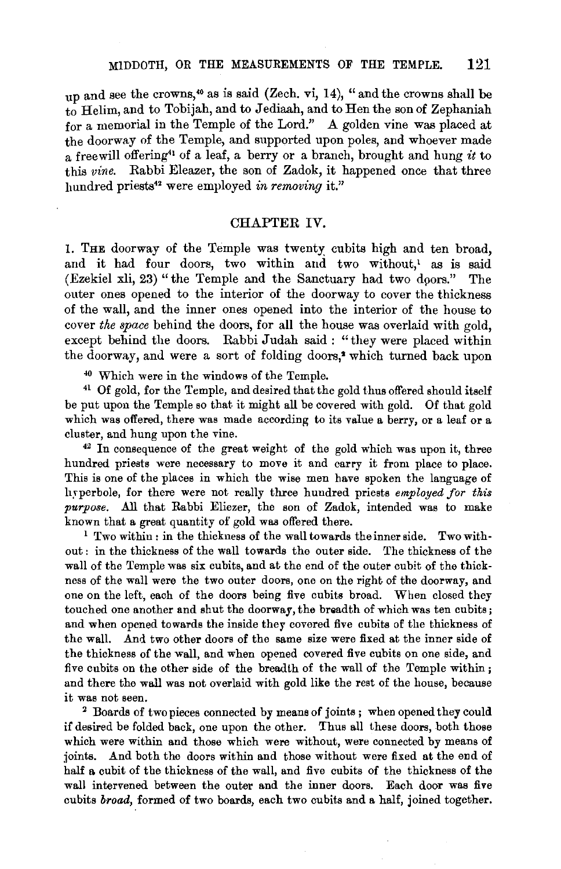up and see the crowns,•• as is said (Zech. vi, 14), "and the crowns shall be to Helim, and to Tobijah, and to J ediaah, and to Hen the son of Zephaniah for a memorial in the Temple of the Lord." A golden vine was placed at the doorway of the Temple, and supported upon poles, and whoever made a freewill offering41 of a leaf, a berry or a branch, brought and hung *it* to this *vine.* Rabbi Eleazer, the son of Zadok, it happened once that three hundred priests42 were employed *in removing* it."

#### CHAPTER IV.

1. THE doorway of the Temple was twenty cubits high and ten broad, and it had four doors, two within and two without,<sup>1</sup> as is said (Ezekiel xli, 23) "the Temple and the Sanctuary had two doors." The outer ones opened to the interior of the doorway to cover the thickness of the wall, and the inner ones opened into the interior of the house to cover *the space* behind the doors, for all the house was overlaid with gold, except behind the doors. Rabbi Judah said: "they were placed within the doorway, and were a sort of folding doors.<sup>2</sup> which turned back upon

 $^{40}$  Which were in the windows of the Temple.<br> $^{41}$  Of gold, for the Temple, and desired that the gold thus offered should itself be put upon the Temple so that it might all be covered with gold. Of that gold which was offered, there was made according to its value a berry, or a leaf or a cluster, and hung upon the vine. 42 In consequence of the great weight of the gold which was upon it, three

hundred priests were necessary to move it and carry it from place to place. This is one of the places in which the wise men have spoken the language of h,rperbole, for there were not really three hundred priests *employed for this purpose.* .All that Rabbi Eliezer, the son of Zadok, intended was to make known that a great quantity of gold was offered there.

<sup>1</sup> Two within : in the thickness of the wall towards the inner side. Two without : in the thickness of the wall towards the outer side. The thickness of the wall of the Temple was six cubits, and at the end of the outer cubit of the thickness of the wall were the two outer doors, one on the right of the doorway, and one on the left, each of the doors being five cubits broad. When closed they touched one another and shut the doorway, the breadth of which was ten cubits; and when opened towards the inside they covered five cubits of the thickness of the wall. And two other doors of the same size were fixed at the inner side of the thickness of the wall, and when opened covered five cubits on one side, and five cubits on the other side of the breadth of the wall of the Temple within; and there the wall was not overlaid with gold like the rest of the house, because it was not seen. 2 Boards of two pieces connected by means of joints ; when opened they could

if desired be folded back, one upon the other. 'Ihus all these doors, both those which were within and those which were without, were connected by means of joints. And both the doors within and those without were fixed at the end of half a cubit of the thickness of the wall, and five cubits of the thickness of the wall intervened between the outer and the inner doors. Each door was five cubits *broad,* formed of two boards, each two cubits and a half, joined together.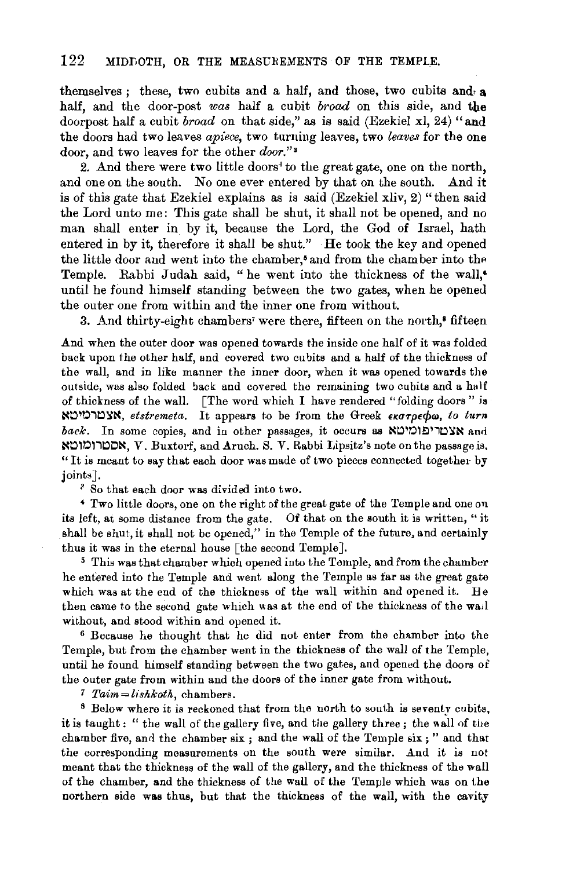themselves ; these, two cubits and a half, and those, two cubits and' a half, and the door-post *was* half a cubit *broad* on this side, and the doorpost half a cubit *broad* on that side," as is said (Ezekiel xl, 24) "and the doors had two leaves *apiece,* two turning leaves, two *leaves* for the one door, and two leaves for the other *door."•* 

2. And there were two little doors<sup>4</sup> to the great gate, one on the north, and one on the south. No one ever entered by that on the south. And it is of this gate that Ezekiel explains as is said (Ezekiel xliv, 2) "then said the Lord unto me: This gate shall be shut, it shall not be opened, and no man shall enter in by it, because the Lord, the God of Israel, hath entered in by it, therefore it shall be shut." He took the key and opened the little door and went into the chamber,<sup>5</sup> and from the chamber into the Temple. Rabbi Judah said, "he went into the thickness of the wall,• until he found himself standing between the two gates, when he opened the outer one from within and the inner one from without.

3. And thirty-eight chambers' were there, fifteen on the north,• fifteen

And when the outer door was opened towards the inside one half of it was folded back upon the other half, and covered two cubits and a half of the thickness of the wall, and in like manner the inner door, when it was opened towards the outside, was also folded back and covered the remaining two cubits and a half of thickness of the wall. [The word which I have rendered "folding doors" is ~~~o;~::;~, *etstremeta.* It appears t.o be from the Greek *£KUTpEcpw, to turn*   $back.$  In some copies, and in other passages, it occurs as **NUTHICOX** and  $\sim$  1013 in South Copies, and Aruch. S. V. Rabbi Lipsitz's note on the passage is.<br>2012/1028, V. Buxtorf, and Aruch. S. V. Rabbi Lipsitz's note on the passage is. "It is meant to say that each door was made of two pieces connected together by joints].

 $\degree$  So that each door was divided into two.<br>4 Two little doors, one on the right of the great gate of the Temple and one on its left, at some distance from the gate. Of that on the south it is written, " it shall be shut, it shall not be opened," in the Temple of the future, and certainly thus it was in the eternal house [the second Temple]. 5 This was that chamber which opened into the Temple, and from the chamber

he entered into the Temple and went along the Temple as far as the great gate which was at the end of the thickness of the wall within and opened it. He then came to the second gate which was at the end of the thickness of the wall without, and stood within and opened it.

 $6$  Because he thought that he did not enter from the chamber into the Temple, but from the chamber went in the thickness of the wall of the Temple, until he found himself standing between the two gates, and opened the doors of the outer gate from within and the doors of the inner gate from without.

*T* Taim= $\text{listkoth}$ , chambers.<br><sup>8</sup> Below where it is reckoned that from the north to south is seventy cubits, it is taught: " the wall of the gallery five, and the gallery three; the wall of the chamber five, and the chamber  $six$ ; and the wall of the Temple  $six$ ; " and that the corresponding measurements on the south were similar. And it is not meant that the thickness of the wall of the gallery, and the thickness of the wall of the chamber, and the thickness of the wall of the Temple which was on the northern side was thus, but that the thickness of the wall, with the cavity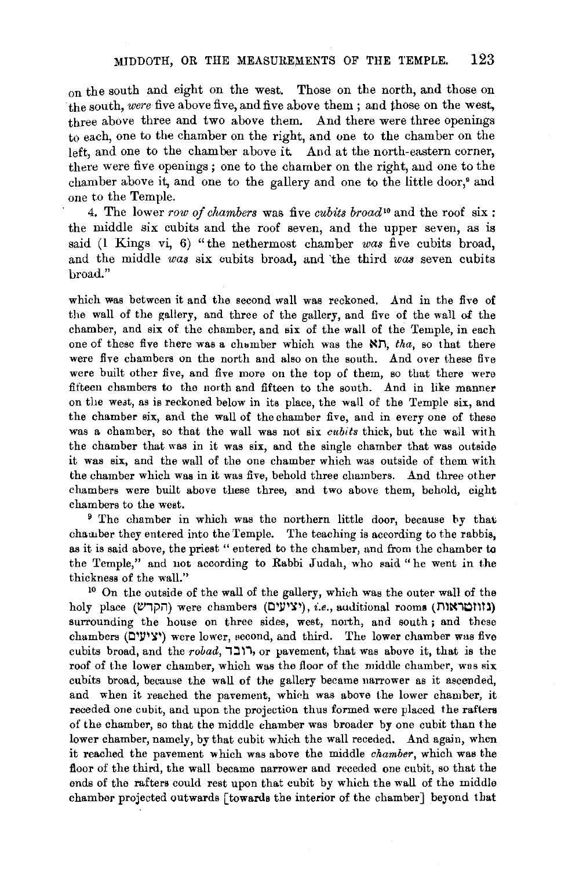on the south and eight on the west. Those on the north, and those on the south, *were* five above five, and five above them; and those on the west, three above three and two above them. And there were three openings to each, one to the chamber on the right, and one to the chamber on the left, and one to the chamber above it. And at the north-eastern corner, there were five openings; one to the chamber on the right, and one to the chamber above it, and one to the gallery and one to the little door,• and one to the Temple.

4. The lower *row of chambers* was five *cubits broad10* and the roof six; the middle six cubits and the roof seven, and the upper seven, as is said (l Kings vi, 6) "the nethermost chamber *was* five cubits broad, and the middle *was* six cubits broad, and 'the third *was* seven cubits broad."

which was between it and the second wall was reckoned. And in the five of the wall of the gallery, and three of the gallery, and five of the wall *of* the chamber, and six of the chamber, and six of the wall of the Temple, in each one of these five there was a chamber which was the  $\aleph n$ , *tha*, so that there were five chambers on the north and also on the south. And over these five were built other five, and five more on the top of them, so that there were fifteen chambers to the north and fifteen to the south. And in like manner on the weat, as is reckoned below in its place, the wall of the Temple six, and the chamber six, and the wall of the chamber five, and in every one of these was a chamber, so that the wall was not six *cubits* thick, but the wall with the chamber that was in it was six, and the single chamber that was outside it was six, and the wall of the one chamber which was outside of them with the chamber which was in it was five, behold three chambers. And three other chambers were built above these three, and two above them, behold, eight chambers to the west. 9 The chamber in which was the northern little door, because by that

chamber they entered into the Temple. The teaching is according to the rabbis, as it is said above, the priest" entered to the chamber, and from the chamber to the Temple," and not according to Rabbi Judah, who said "he went in the thickness of the wall."<br><sup>10</sup> On the outside of the wall of the gallery, which was the outer wall of the

holy place (הקדש) were chambers (יציעים), *i.e.*, auditional rooms (הלוו $(11)$ surrounding the house on three sides, west, north, and south ; and these chambers (יציעים) were lower, second, and third. The lower chamber was five cubits broad, and the *robad,* **1:l,1,** or pavement, that was above it, that is the roof of the lower chamber, which was the floor of the middle chamber, wus six cubits broad, because the wall of the gallery became narrower as it ascended, and when it reached the pavement, which was above the lower chamber, it receded one cubit, and upon the projection thus formed were placed the rafters of the chamber, so that the middle chamber was broader by one cubit than the lower chamber, namely, by that cubit which the wall receded. And again, when it reached the pavement which was above the middle *chamber,* which was the floor of the third, the wall became narrower and receded one cubit, so that the ends of the rafters could rest upon that cubit by which the wall of the middle chamber projected outwards [towards the interior of the chamber] beyond that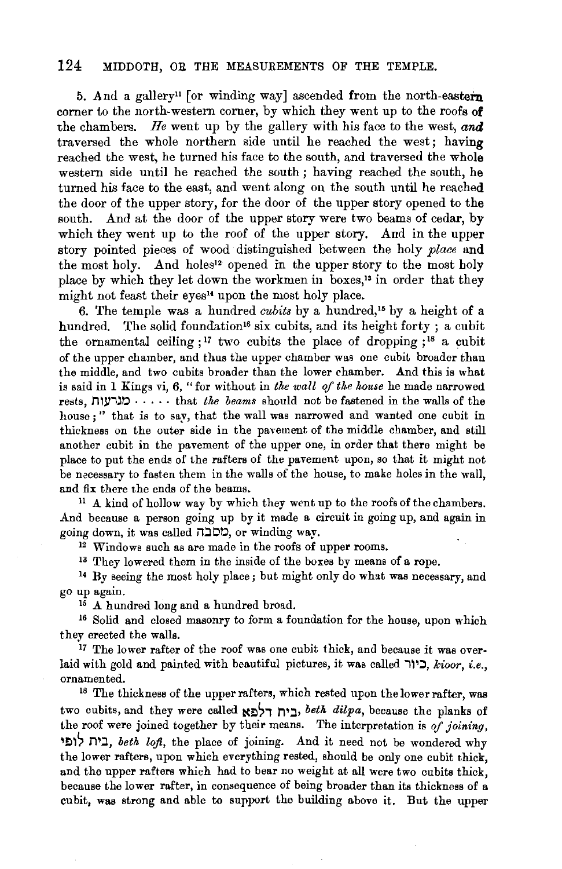# 124 MIDDOTH, OR THE MEASUREMENTS OF THE TEMPLE.

5. And a gallery<sup>11</sup> [or winding way] ascended from the north-eastern corner to the north-western corner, by which they went up to the roofs of the chambers. *He* went up by the gallery with his face to the west, and traversed the whole northern side until he reached the west; having reached the west, he turned his face to the south, and traversed the whole western side until he reached the south; having reached the south, he turned his face to the east, and went along on the south until he reached the door of the upper story, for the door of the upper story opened to the south. And at the door of the upper story were two beams of cedar, by which they went up to the roof of the upper story. And in the upper story pointed pieces of wood distinguished between the holy *place* and the most holy. And holes<sup>12</sup> opened in the upper story to the most holy place by which they let down the workmen in boxes,'3 in order that they might not feast their eyes" upon the most holy place.

6. The temple was a hundred *cubits* by a hundred,15 by a height of a hundred. The solid foundation<sup>16</sup> six cubits, and its height forty; a cubit the ornamental ceiling  $;^{17}$  two cubits the place of dropping  $;^{18}$  a cubit of the upper chamber, and thus the upper chamber was one cubit broader than the middle, and two cubits broader than the lower chamber. And this is what  $\tilde{\mathbf{r}}$  is said in 1 Kings vi, 6, " for without in *the wall of the house* he made narrowed ests.  $\mathbf{n}$  much  $\cdots$  that *the beams* should not be fastened in the walls of the rests,  $\Omega$   $\Omega$   $\Omega$   $\Omega$   $\Omega$  that the *beams* should not be fastened in the walls of the house;" that is to say, that the wall was narrowed and wanted one cubit in thickness on the outer side in the pavement of the middle chamber, and still another cubit in the pavement of the upper one, in order that there might be place to put the ends of the rafters of the pavement upon, so that it might not be necessary to fasten them in the walls of the house, to make holes in the wall, and fix there the ends of the beams.<br><sup>11</sup> A kind of hollow way by which they went up to the roofs of the chambers.

And because a person going up by it made a circuit in going up, and again in Coing down, it was called  $\overline{1202}$ , or winding way.<br><sup>12</sup> Windows such as are made in the roofs of upper rooms.<br><sup>13</sup> They lowered them in the inside of the boxes by means of a rope.<br><sup>14</sup> By seeing the most holy place; bu

go up again.<br><sup>15</sup> A hundred long and a hundred broad.<br><sup>16</sup> Solid and closed masonry to form a foundation for the house, upon which

they erected the walls.

<sup>17</sup> The lower rafter of the roof was one cubit thick, and because it was overlaid with gold and painted with beautiful pictures, it was called  $i.e.,$ , *kioor, i.e.*, ornamented. 18 The thickness of the upper rafters, which rested upon the lower rafter, was

two cubits, and they were called t(!)~1 n•:J, *betk dilpa,* because the planks of the roof were joined together by their means. The interpretation is *of joining,*  '!ll~ n•:l, *betk loft,* the place of joining. And it need not be wondered why the lower rafters, upon which everything rested, should be only one cubit thick, and the upper rafters which had to bear no weight at all were two cubits thick, because the lower rafter, in consequence of being broader than its thickness of a cubit, was strong and able to support the building above it. But the upper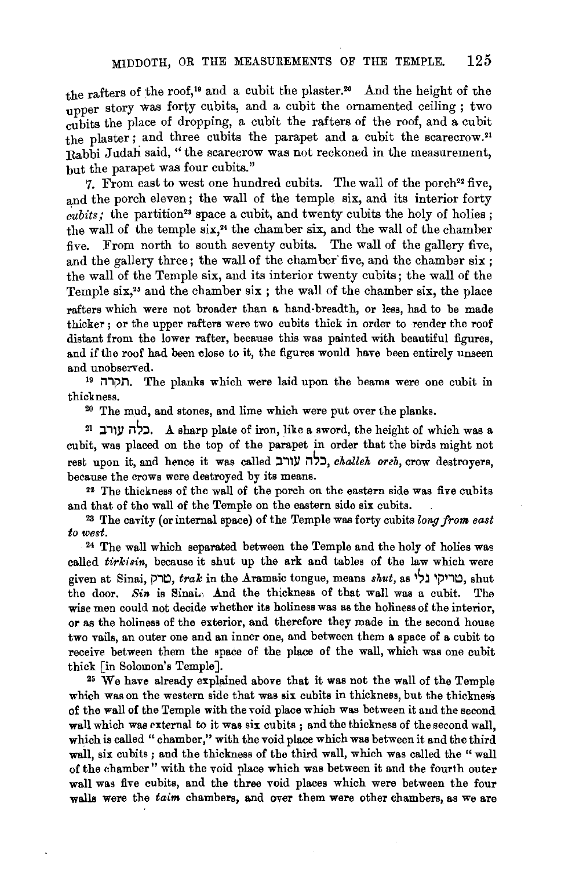the rafters of the roof,<sup>19</sup> and a cubit the plaster.<sup>20</sup> And the height of the upper story was forty cubits, and a cubit the ornamented ceiling : two cubits the place of dropping, a cubit the rafters of the roof, and a cubit the plaster; and three cubits the parapet and a cubit the scarecrow.<sup>21</sup> Rabbi Judah said, "the scarecrow was not reckoned in the measurement, but the parapet was four cubits."

7. From east to west one hundred cubits. The wall of the porch<sup>22</sup> five, and the porch eleven; the wall of the temple six, and its interior forty  $_{cubic}$ ; the partition<sup>23</sup> space a cubit, and twenty cubits the holy of holies; the wall of the temple six,<sup>24</sup> the chamber six, and the wall of the chamber five. From north to south seventy cubits. The wall of the gallery five, and the gallery three; the wall of the chamber' five, and the chamber six; the wall of the Temple six, and its interior twenty cubits; the wall of the Temple six, $2<sup>5</sup>$  and the chamber six; the wall of the chamber six, the place rafters which were not broader than a hand·breadth, or less, had to be made thicker ; or the upper rafters were two cubits thick in order to render the roof distant from the lower rafter, because this was painted with beautiful figures, and if the roof had been close to it, the figures would have been entirely unseen and unobserved.

תקרה<sup>19</sup>. The planks which were laid upon the beams were one cubit in thickness.<br><sup>20</sup> The mud, and stones, and lime which were put over the planks.

21 בלה עורב. A sharp plate of iron, like a sword, the height of which was a cubit, was placed on the top of the parapet in order that the birds might not rest upon it, and hence it was called :lirtl i1~::l, *ckallek oreb,* crow destroyers, because the crows were destroyed by its means.

<sup>22</sup> The thickness of the wall of the porch on the eastern side was five cubits and that of the wall of the Temple on the eastern side six cubits.

23 The cavity (or internal space) of the Temple was forty cubits *long from east to west.* 

<sup>24</sup> The wall which separated between the Temple and the holy of holies was called *tirkisin,* because it shut up the ark and tables of the law which were given at Sinai, j:li~, *trak* in the Aramaic tongue, means *shut,* as ~) lj:lli~, shut the door. *Sin* is Sinai. And the thickness of that wall was a cubit. The wise men could not decide whether its holiness was as the holiness of the interior, or as the holiness of the exterior, and therefore they made in the second house two vails, an outer one and an inner one, and between them a space of a cubit to receive between them the space of the place of the wall, which was one cubit thick [in Solomon's Temple]. 25 We have already explained above that it was not the wall of the Temple

which was on the western side that was six cubits in thickness, but the thickness of the wall of the Temple with the void place which was between it and the second wall which was external to it was six cubits; and the thickness of the second wall, which is called "chamber," with the void place which was between it and the third wall, six cubits; and the thickness of the third wall, which was called the "wall of the chamber" with the void place which was between it and the fourth outer wall was five cubits, and the three void places which were between the four walls were the *taim* chambers, and over them were other chambers, as we are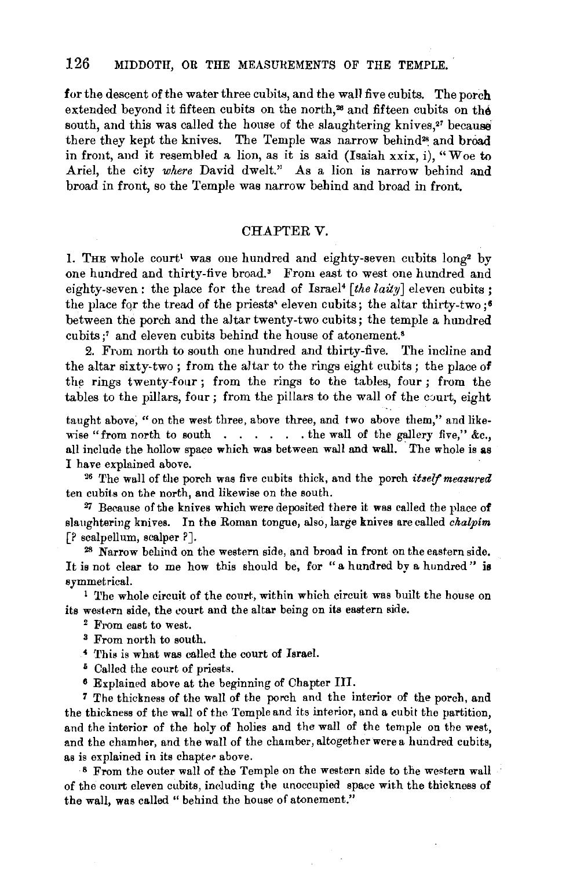for the descent of the water three cubits, and the wall five cubits. The porch extended beyond it fifteen cubits on the north,<sup>26</sup> and fifteen cubits on the south, and this was called the house of the slaughtering knives,<sup>27</sup> because there they kept the knives. The Temple was narrow behind<sup>28</sup> and broad in front, and it resembled a lion, as it is said (Isaiah xxix, i), "Woe to Ariel, the city *where* David dwelt." As a lion is narrow behind and broad in front, so the Temple was narrow behind and broad in front.

### CHAPTER V.

1. The whole court<sup>t</sup> was one hundred and eighty-seven cubits  $\log^2$  by one hundred and thirty-five broad.' From east to west one hundred and eighty-seven: the place for the tread of Israel<sup>4</sup> [the laity] eleven cubits; the place for the tread of the priests<sup>*s*</sup> eleven cubits; the altar thirty-two:<sup>6</sup> between the porch and the altar twenty-two cubits; the temple a hundred cubits;' and eleven cubits behind the house of atonement.<sup>8</sup>

2. From north to south one hundred and thirty-five. The incline and the altar sixty-two ; from the altar to the rings eight cubits; the place of the rings twenty-four; from the rings to the tables, four; from the tables to the pillars, four ; from the pillars to the wall of the court, eight

taught above, " on the west three, above three, and two above them," and likewise "from north to south . . . . . . the wall of the gallery five," &c., all include the hollow space which was between wall and wall .. The whole is as all include the hollow space which was between wall and wall. The whole is as I have explained above.

<sup>26</sup> The wall of the porch was five cubits thick, and the porch *itself measured* ten cubits on *the* north, and likewise on the south.

<sup>27</sup> Because of the knives which were deposited there it was called the place of slaughtering knives. In the Roman tongue, also, large knives are called *ckalpim*  [? scalpellum, scalper ?].

28 Narrow behind on the western side, and broad in front on the eastern side. It is not clear to me how this should be, for "a hundred by a hundred" is symmetrical.

<sup>1</sup> The whole circuit of the court, within which circuit was built the house on its western side, the court and the altar being on its eastern side.<br><sup>2</sup> From east to west.<br><sup>3</sup> From north to south.

- 
- 
- 4 This is what was called the court of Israel. 6 Called the court of priests.
- 
- 6 Explained above at the beginning of Chapter III.

7 The thickness of the wall of the porch aml the interior of the porch, and the thickness of the wall of the Temple and its interior, and a cubit the partition, and the interior of the holy of holies and the wall of the temple on the west, and the chamher, and the wall of the chamber, altogether were a hundred cubits, as is explained in its chapter above.

s From the outer wall of the Temple on the western side to the western wall of the court eleven cubits, ineluding the unoccupied space with the thickness of the wall, was called " behind the house of atonement."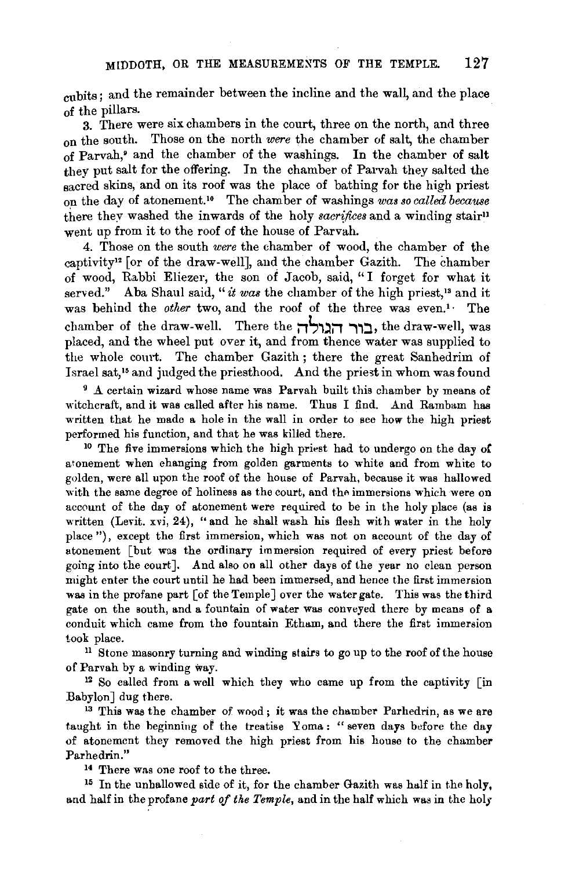cubits; and the remainder between the incline and the wall, and the place of the pillars.

3. There were six chambers in the court, three on the north, and three on the south. Those on the north *were* the chamber of salt, the chamber of Parvah,• and the chamber of the washings. In the chamber of salt they put salt for the offering. In the chamber of Parvah they salted the sacred skins, and on its roof was the place of bathing for the high priest on the day of atonement.10 The chamber of washings *was so called because*  there they washed the inwards of the holy *sacrifices* and a winding stair<sup>11</sup> went up from it to the roof of the house of Parvah.

4. Those on the south *were* the chamber of wood, the chamber of the captivity12 [or of the draw-well}, and the chamber Gazith. The chamber of wood, Rabbi Eliezer, the son of Jacob, said, "I forget for what it served." Aba Shaul said, "*it was* the chamber of the high priest,<sup>13</sup> and it was behind the *other* two, and the roof of the three was even.<sup>1</sup> The chamber of the draw-well. There the **ִינוּלְהְ**, the draw-well, was placed, and the wheel put over it, and from thence water was supplied to the whole court. The chamber Gazith ; there the great Sanhedrim of Israel sat, 1' and judged the priesthood. And the priest in whom was found

<sup>9</sup> A certain wizard whose name was Parvah built this chamber by means of witchcraft, and it was called after his name. Thus I find. And Rambam has written that he made a hole in the wall in order to see how the high priest performed his function, and that he was killed there.<br><sup>10</sup> The five immersions which the high priest had to undergo on the day of

atonement when changing from golden garments to white and from white to golden, were all upon the roof of the house of Parvah, because it was hallowed with the same degree of holiness as the court, and the immersions which were on account of the day of atonement were required to be in the holy place (as is written (Levit. xvi, 24), "and he shall wash his flesh with water in the holy place"), except the first immersion, which was not on account of the day of atonement [but was the ordinary immersion required of every priest before going into the court]. And also on all other days of the year no clean person might enter the court until he had been immersed, and hence the first immersion was in the profane part [of the Temple] over the water gate. This was the third gate on the south, and a fountain of water was conveyed there by means of a conduit which came from the fountain Etham, and there the first immersion took place.

 $11$  Stone masonry turning and winding stairs to go up to the roof of the house of Parvah by a winding way.<br><sup>12</sup> So called from a well which they who came up from the captivity  $\int$ in

Babylon] dug there.<br><sup>13</sup> This was the chamber of wood; it was the chamber Parhedrin, as we are

taught in the beginning of the treatise Yoma: "seven days before the day of atonement they removed the high priest from his house to the chamber Parhedrin."

<sup>14</sup> There was one roof to the three.<br><sup>15</sup> In the unhallowed side of it, for the chamber Gazith was half in the holy, and half in the profane *part of the Temple,* and in the half which was in the holy